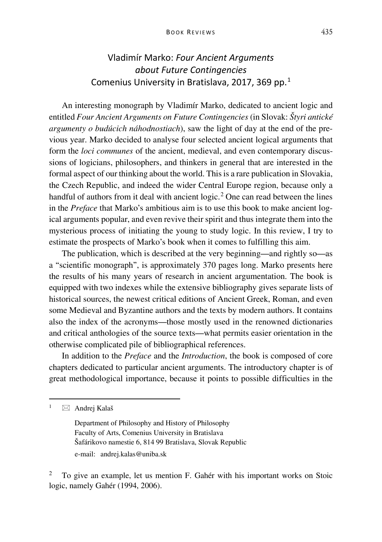## Vladimír Marko: *Four Ancient Arguments about Future Contingencies* Comenius University in Bratislava, 2017, 369 pp.[1](#page-0-0)

An interesting monograph by Vladimír Marko, dedicated to ancient logic and entitled *Four Ancient Arguments on Future Contingencies* (in Slovak: *Štyri antické argumenty o budúcich náhodnostiach*), saw the light of day at the end of the previous year. Marko decided to analyse four selected ancient logical arguments that form the *loci communes* of the ancient, medieval, and even contemporary discussions of logicians, philosophers, and thinkers in general that are interested in the formal aspect of our thinking about the world. This is a rare publication in Slovakia, the Czech Republic, and indeed the wider Central Europe region, because only a handful of authors from it deal with ancient  $logic$ .<sup>[2](#page-0-1)</sup> One can read between the lines in the *Preface* that Marko's ambitious aim is to use this book to make ancient logical arguments popular, and even revive their spirit and thus integrate them into the mysterious process of initiating the young to study logic. In this review, I try to estimate the prospects of Marko's book when it comes to fulfilling this aim.

The publication, which is described at the very beginning—and rightly so—as a "scientific monograph", is approximately 370 pages long. Marko presents here the results of his many years of research in ancient argumentation. The book is equipped with two indexes while the extensive bibliography gives separate lists of historical sources, the newest critical editions of Ancient Greek, Roman, and even some Medieval and Byzantine authors and the texts by modern authors. It contains also the index of the acronyms—those mostly used in the renowned dictionaries and critical anthologies of the source texts—what permits easier orientation in the otherwise complicated pile of bibliographical references.

In addition to the *Preface* and the *Introduction*, the book is composed of core chapters dedicated to particular ancient arguments. The introductory chapter is of great methodological importance, because it points to possible difficulties in the

<span id="page-0-0"></span> $1 \quad \text{and}$ rej Kalaš

Department of Philosophy and History of Philosophy Faculty of Arts, Comenius University in Bratislava Šafárikovo namestie 6, 814 99 Bratislava, Slovak Republic e-mail: andrej.kalas@uniba.sk

<span id="page-0-1"></span><sup>2</sup> To give an example, let us mention F. Gahér with his important works on Stoic logic, namely Gahér (1994, 2006).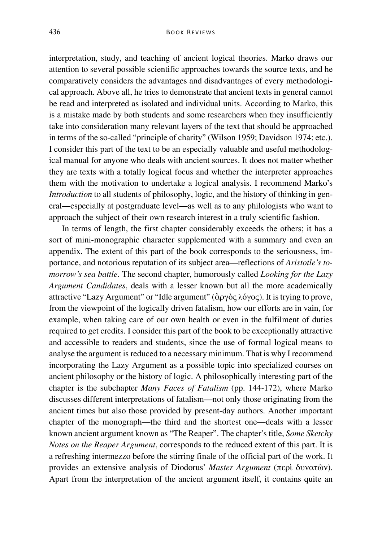interpretation, study, and teaching of ancient logical theories. Marko draws our attention to several possible scientific approaches towards the source texts, and he comparatively considers the advantages and disadvantages of every methodological approach. Above all, he tries to demonstrate that ancient texts in general cannot be read and interpreted as isolated and individual units. According to Marko, this is a mistake made by both students and some researchers when they insufficiently take into consideration many relevant layers of the text that should be approached in terms of the so-called "principle of charity" (Wilson 1959; Davidson 1974; etc.). I consider this part of the text to be an especially valuable and useful methodological manual for anyone who deals with ancient sources. It does not matter whether they are texts with a totally logical focus and whether the interpreter approaches them with the motivation to undertake a logical analysis. I recommend Marko's *Introduction* to all students of philosophy, logic, and the history of thinking in general—especially at postgraduate level—as well as to any philologists who want to approach the subject of their own research interest in a truly scientific fashion.

In terms of length, the first chapter considerably exceeds the others; it has a sort of mini-monographic character supplemented with a summary and even an appendix. The extent of this part of the book corresponds to the seriousness, importance, and notorious reputation of its subject area—reflections of *Aristotle's tomorrow's sea battle*. The second chapter, humorously called *Looking for the Lazy Argument Candidates*, deals with a lesser known but all the more academically attractive "Lazy Argument" or "Idle argument" (ἀργὸς λόγος). It is trying to prove, from the viewpoint of the logically driven fatalism, how our efforts are in vain, for example, when taking care of our own health or even in the fulfilment of duties required to get credits. I consider this part of the book to be exceptionally attractive and accessible to readers and students, since the use of formal logical means to analyse the argument is reduced to a necessary minimum. That is why I recommend incorporating the Lazy Argument as a possible topic into specialized courses on ancient philosophy or the history of logic. A philosophically interesting part of the chapter is the subchapter *Many Faces of Fatalism* (pp. 144-172), where Marko discusses different interpretations of fatalism—not only those originating from the ancient times but also those provided by present-day authors. Another important chapter of the monograph—the third and the shortest one—deals with a lesser known ancient argument known as "The Reaper". The chapter's title, *Some Sketchy Notes on the Reaper Argument*, corresponds to the reduced extent of this part. It is a refreshing intermezzo before the stirring finale of the official part of the work. It provides an extensive analysis of Diodorus' *Master Argument* (περὶ δυνατῶν). Apart from the interpretation of the ancient argument itself, it contains quite an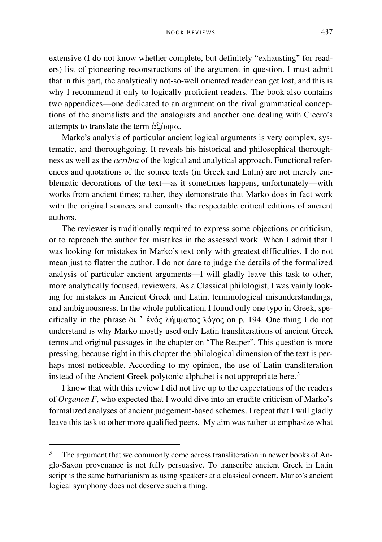extensive (I do not know whether complete, but definitely "exhausting" for readers) list of pioneering reconstructions of the argument in question. I must admit that in this part, the analytically not-so-well oriented reader can get lost, and this is why I recommend it only to logically proficient readers. The book also contains two appendices—one dedicated to an argument on the rival grammatical conceptions of the anomalists and the analogists and another one dealing with Cicero's attempts to translate the term ἀξίωμα.

Marko's analysis of particular ancient logical arguments is very complex, systematic, and thoroughgoing. It reveals his historical and philosophical thoroughness as well as the *acribia* of the logical and analytical approach. Functional references and quotations of the source texts (in Greek and Latin) are not merely emblematic decorations of the text—as it sometimes happens, unfortunately—with works from ancient times; rather, they demonstrate that Marko does in fact work with the original sources and consults the respectable critical editions of ancient authors.

The reviewer is traditionally required to express some objections or criticism, or to reproach the author for mistakes in the assessed work. When I admit that I was looking for mistakes in Marko's text only with greatest difficulties, I do not mean just to flatter the author. I do not dare to judge the details of the formalized analysis of particular ancient arguments—I will gladly leave this task to other, more analytically focused, reviewers. As a Classical philologist, I was vainly looking for mistakes in Ancient Greek and Latin, terminological misunderstandings, and ambiguousness. In the whole publication, I found only one typo in Greek, specifically in the phrase δι ᾿ ἑνός λήμματος λόγος on p*.* 194. One thing I do not understand is why Marko mostly used only Latin transliterations of ancient Greek terms and original passages in the chapter on "The Reaper". This question is more pressing, because right in this chapter the philological dimension of the text is perhaps most noticeable. According to my opinion, the use of Latin transliteration instead of the Ancient Greek polytonic alphabet is not appropriate here.<sup>[3](#page-2-0)</sup>

I know that with this review I did not live up to the expectations of the readers of *Organon F*, who expected that I would dive into an erudite criticism of Marko's formalized analyses of ancient judgement-based schemes. I repeat that I will gladly leave this task to other more qualified peers. My aim was rather to emphasize what

<span id="page-2-0"></span> $3$  The argument that we commonly come across transliteration in newer books of Anglo-Saxon provenance is not fully persuasive. To transcribe ancient Greek in Latin script is the same barbarianism as using speakers at a classical concert. Marko's ancient logical symphony does not deserve such a thing.